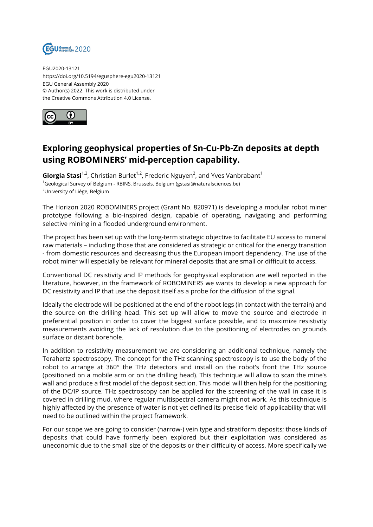

EGU2020-13121 https://doi.org/10.5194/egusphere-egu2020-13121 EGU General Assembly 2020 © Author(s) 2022. This work is distributed under the Creative Commons Attribution 4.0 License.



## **Exploring geophysical properties of Sn-Cu-Pb-Zn deposits at depth using ROBOMINERS' mid-perception capability.**

**Giorgia Stasi**<sup>1,2</sup>, Christian Burlet<sup>1,2</sup>, Frederic Nguyen<sup>2</sup>, and Yves Vanbrabant<sup>1</sup> <sup>1</sup>Geological Survey of Belgium - RBINS, Brussels, Belgium (gstasi@naturalsciences.be) <sup>2</sup>University of Liège, Belgium

The Horizon 2020 ROBOMINERS project (Grant No. 820971) is developing a modular robot miner prototype following a bio-inspired design, capable of operating, navigating and performing selective mining in a flooded underground environment.

The project has been set up with the long-term strategic objective to facilitate EU access to mineral raw materials – including those that are considered as strategic or critical for the energy transition - from domestic resources and decreasing thus the European import dependency. The use of the robot miner will especially be relevant for mineral deposits that are small or difficult to access.

Conventional DC resistivity and IP methods for geophysical exploration are well reported in the literature, however, in the framework of ROBOMINERS we wants to develop a new approach for DC resistivity and IP that use the deposit itself as a probe for the diffusion of the signal.

Ideally the electrode will be positioned at the end of the robot legs (in contact with the terrain) and the source on the drilling head. This set up will allow to move the source and electrode in preferential position in order to cover the biggest surface possible, and to maximize resistivity measurements avoiding the lack of resolution due to the positioning of electrodes on grounds surface or distant borehole.

In addition to resistivity measurement we are considering an additional technique, namely the Terahertz spectroscopy. The concept for the THz scanning spectroscopy is to use the body of the robot to arrange at 360° the THz detectors and install on the robot's front the THz source (positioned on a mobile arm or on the drilling head). This technique will allow to scan the mine's wall and produce a first model of the deposit section. This model will then help for the positioning of the DC/IP source. THz spectroscopy can be applied for the screening of the wall in case it is covered in drilling mud, where regular multispectral camera might not work. As this technique is highly affected by the presence of water is not yet defined its precise field of applicability that will need to be outlined within the project framework.

For our scope we are going to consider (narrow-) vein type and stratiform deposits; those kinds of deposits that could have formerly been explored but their exploitation was considered as uneconomic due to the small size of the deposits or their difficulty of access. More specifically we